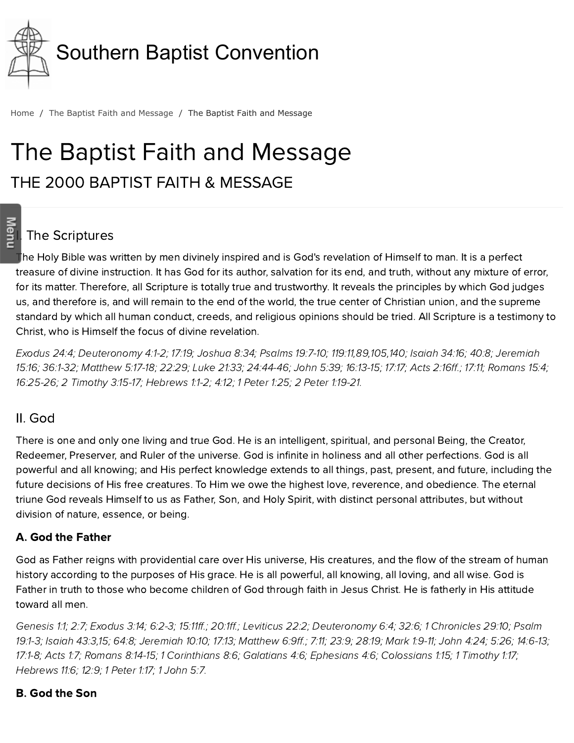

[Home](http://www.sbc.net/) / The Baptist Faith and [Message](http://www.sbc.net/bfm2000/) / The Baptist Faith and Message

# The Baptist Faith and Message THE 2000 BAPTIST FAITH & MESSAGE

# **s**<br>말 The Scriptures

The Holy Bible was written by men divinely inspired and is God's revelation of Himself to man. It is a perfect treasure of divine instruction. It has God for its author, salvation for its end, and truth, without any mixture of error, for its matter. Therefore, all Scripture is totally true and trustworthy. It reveals the principles by which God judges us, and therefore is, and will remain to the end of the world, the true center of Christian union, and the supreme standard by which all human conduct, creeds, and religious opinions should be tried. All Scripture is a testimony to Christ, who is Himself the focus of divine revelation.

[Exodus](http://biblia.com/bible/hcsb/Exodus%2024.4) 24:4; [Deuteronomy](http://biblia.com/bible/hcsb/Deuteronomy%204.1-2) 4:1-2; [17:19;](http://biblia.com/bible/hcsb/Deuteronomy%2017.19) [Joshua](http://biblia.com/bible/hcsb/Joshua%208.34) 8:34; [Psalms](http://biblia.com/bible/hcsb/Psalms%2019.7-10) 19:7-10; [1](http://biblia.com/bible/hcsb/Jeremiah%2015.16)[19:1](http://biblia.com/bible/hcsb/Psalms%20119.11)[1,89,1](http://biblia.com/bible/hcsb/Jeremiah%2015.16)[0](http://biblia.com/bible/hcsb/Psalms%20119.105)[5,1](http://biblia.com/bible/hcsb/Jeremiah%2015.16)[40](http://biblia.com/bible/hcsb/Psalms%20119.140)[;](http://biblia.com/bible/hcsb/Jeremiah%2015.16) [Isaiah](http://biblia.com/bible/hcsb/Isaiah%2034.16) 34:16; [40:8](http://biblia.com/bible/hcsb/Isaiah%2040.8); Jeremiah 15:16; [36:1-32;](http://biblia.com/bible/hcsb/Jeremiah%2036.1-32) [Matthew](http://biblia.com/bible/hcsb/Matthew%205.17-18) 5:17-18; [22:29](http://biblia.com/bible/hcsb/Matthew%2022.29); Luke [21:33;](http://biblia.com/bible/hcsb/Luke%2021.33) [24:44-46](http://biblia.com/bible/hcsb/Luke%2024.44-46); [John](http://biblia.com/bible/hcsb/John%205.39) 5:39; [16:13-15;](http://biblia.com/bible/hcsb/John%2016.13-15) [17:17](http://biblia.com/bible/hcsb/John%2017.17); Acts [2:16ff](http://biblia.com/bible/hcsb/Acts%202.16ff).; [17:11](http://biblia.com/bible/hcsb/Acts%2017.11); [Romans](http://biblia.com/bible/hcsb/Romans%2015.4) 15:4; [16:25-26;](http://biblia.com/bible/hcsb/Romans%2016.25-26) 2 [Timothy](http://biblia.com/bible/hcsb/2%20Timothy%203.15-17) 3:15-17; [Hebrews](http://biblia.com/bible/hcsb/Hebrews%201.1-2) 1:1-2; [4:12](http://biblia.com/bible/hcsb/Hebrews%204.12); 1 [Peter](http://biblia.com/bible/hcsb/1%20Peter%201.25) 1:25; 2 Peter [1:19-21.](http://biblia.com/bible/hcsb/2%20Peter%201.19-21)

#### II. God

There is one and only one living and true God. He is an intelligent, spiritual, and personal Being, the Creator, Redeemer, Preserver, and Ruler of the universe. God is infinite in holiness and all other perfections. God is all powerful and all knowing; and His perfect knowledge extends to all things, past, present, and future, including the future decisions of His free creatures. To Him we owe the highest love, reverence, and obedience. The eternal triune God reveals Himself to us as Father, Son, and Holy Spirit, with distinct personal attributes, but without division of nature, essence, or being.

#### A. God the Father

God as Father reigns with providential care over His universe, His creatures, and the flow of the stream of human history according to the purposes of His grace. He is all powerful, all knowing, all loving, and all wise. God is Father in truth to those who become children of God through faith in Jesus Christ. He is fatherly in His attitude toward all men.

[Genesis](http://biblia.com/bible/hcsb/Genesis%201.1) 1:1; [2:7](http://biblia.com/bible/hcsb/Genesis%202.7); [Exodus](http://biblia.com/bible/hcsb/Exodus%203.14) 3:14; [6:2-3;](http://biblia.com/bible/hcsb/Exodus%206.2-3) [15:11ff.](http://biblia.com/bible/hcsb/Exodus%2015.11ff); [20:1ff](http://biblia.com/bible/hcsb/Exodus%2020.1ff).; [Leviticus](http://biblia.com/bible/hcsb/Leviticus%2022.2) 22:2; [D](http://biblia.com/bible/hcsb/Psalm%2019.1-3)[euteronomy](http://biblia.com/bible/hcsb/Deuteronomy%206.4) 6:4; [32:6](http://biblia.com/bible/hcsb/Deuteronomy%2032.6); 1 [Chronicles](http://biblia.com/bible/hcsb/1%20Chronicles%2029.10) 29:10; Psalm 19:1-3; [Isaiah](http://biblia.com/bible/hcsb/Isaiah%2043.3) 43:3,[15;](http://biblia.com/bible/hcsb/Isaiah%2043.15) [64:8](http://biblia.com/bible/hcsb/Isaiah%2064.8); [Jeremiah](http://biblia.com/bible/hcsb/Jeremiah%2010.10) 10:10; [17:13;](http://biblia.com/bible/hcsb/Jeremiah%2017.13) [Matthew](http://biblia.com/bible/hcsb/Matthew%206.9ff) 6:9ff.; [7:11](http://biblia.com/bible/hcsb/Matthew%207.11); [23:9](http://biblia.com/bible/hcsb/Matthew%2023.9); [28:19](http://biblia.com/bible/hcsb/Matthew%2028.19); [Mark](http://biblia.com/bible/hcsb/Mark%201.9-11) 1:9-11; [John](http://biblia.com/bible/hcsb/John%204.24) 4:24; [5:26](http://biblia.com/bible/hcsb/John%205.26); [14:6-13](http://biblia.com/bible/hcsb/John%2014.6-13); [17:1-8;](http://biblia.com/bible/hcsb/John%2017.1-8) [Acts](http://biblia.com/bible/hcsb/Acts%201.7) 1:7; [Romans](http://biblia.com/bible/hcsb/Romans%208.14-15) 8:14-15; 1 [Corinthians](http://biblia.com/bible/hcsb/1%20Corinthians%208.6) 8:6; [Galatians](http://biblia.com/bible/hcsb/Galatians%204.6) 4:6; [Ephesians](http://biblia.com/bible/hcsb/Ephesians%204.6) 4:6; [Colossians](http://biblia.com/bible/hcsb/Colossians%201.15) 1:15; 1 [Timothy](http://biblia.com/bible/hcsb/1%20Timothy%201.17) 1:17; [Hebrews](http://biblia.com/bible/hcsb/Hebrews%2011.6) 11:6; [12:9](http://biblia.com/bible/hcsb/Hebrews%2012.9); 1 [Peter](http://biblia.com/bible/hcsb/1%20Peter%201.17) 1:17; 1 [John](http://biblia.com/bible/hcsb/1%20John%205.7) 5:7.

#### B. God the Son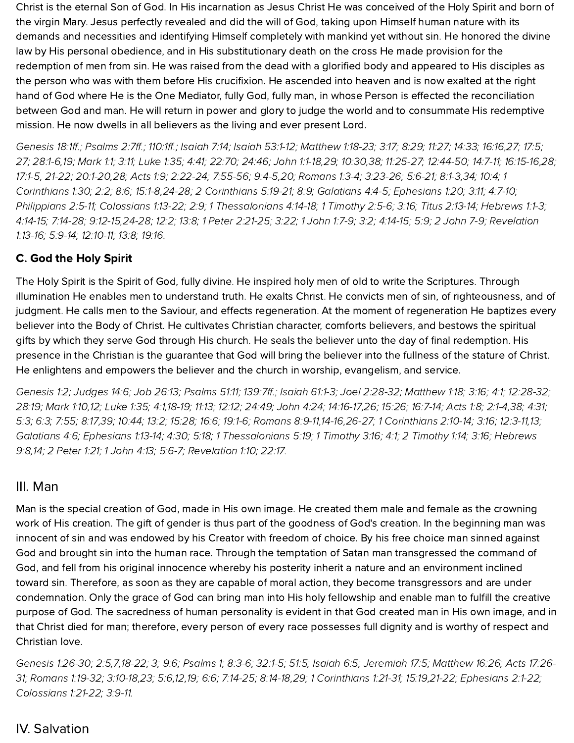Christ is the eternal Son of God. In His incarnation as Jesus Christ He was conceived of the Holy Spirit and born of the virgin Mary. Jesus perfectly revealed and did the will of God, taking upon Himself human nature with its demands and necessities and identifying Himself completely with mankind yet without sin. He honored the divine law by His personal obedience, and in His substitutionary death on the cross He made provision for the redemption of men from sin. He was raised from the dead with a glorified body and appeared to His disciples as the person who was with them before His crucifixion. He ascended into heaven and is now exalted at the right hand of God where He is the One Mediator, fully God, fully man, in whose Person is effected the reconciliation between God and man. He will return in power and glory to judge the world and to consummate His redemptive mission. He now dwells in all believers as the living and ever present Lord.

[Genesis](http://biblia.com/bible/hcsb/Genesis%2018.1ff) 18:1ff.; [Psalms](http://biblia.com/bible/hcsb/Psalms%202.7ff) 2:7ff.; [110:1ff](http://biblia.com/bible/hcsb/Psalms%20110.1ff).; [Isaiah](http://biblia.com/bible/hcsb/Isaiah%207.14) 7:14; Isaiah [53:1-12](http://biblia.com/bible/hcsb/Isaiah%2053.1-12); [Matthew](http://biblia.com/bible/hcsb/Matthew%201.18-23) 1:18-23; [3:17](http://biblia.com/bible/hcsb/Matthew%203.17); [8:29;](http://biblia.com/bible/hcsb/Matthew%208.29) [11:27](http://biblia.com/bible/hcsb/Matthew%2011.27); [14:33](http://biblia.com/bible/hcsb/Matthew%2014.33); [16:16](http://biblia.com/bible/hcsb/Matthew%2016.16),[27;](http://biblia.com/bible/hcsb/Matthew%2016.27) [17:5;](http://biblia.com/bible/hcsb/Matthew%2017.5) [27;](http://biblia.com/bible/hcsb/Matthew%2017.27) [28:1-6,](http://biblia.com/bible/hcsb/Matthew%2028.1-6)[19;](http://biblia.com/bible/hcsb/Matthew%2028.19) [Mark](http://biblia.com/bible/hcsb/Mark%201.1) 1:1; [3:11](http://biblia.com/bible/hcsb/Mark%203.11); [Luke](http://biblia.com/bible/hcsb/Luke%201.35) 1:35; [4:41](http://biblia.com/bible/hcsb/Luke%204.41); [22:70;](http://biblia.com/bible/hcsb/Luke%2022.70) [24:46](http://biblia.com/bible/hcsb/Luke%2024.46); [John](http://biblia.com/bible/hcsb/John%201.1-18) 1:1-18,[29;](http://biblia.com/bible/hcsb/John%201.29) [10:30,](http://biblia.com/bible/hcsb/John%2010.30)[38](http://biblia.com/bible/hcsb/John%2010.38); [11:25-27;](http://biblia.com/bible/hcsb/John%2011.25-27) [12:44-50;](http://biblia.com/bible/hcsb/John%2012.44-50) [14:7-11](http://biblia.com/bible/hcsb/John%2014.7-11); [16:15-16](http://biblia.com/bible/hcsb/John%2016.15-16)[,28;](http://biblia.com/bible/hcsb/John%2016.28) [17:1-5,](http://biblia.com/bible/hcsb/John%2017.1-5) [21-22;](http://biblia.com/bible/hcsb/John%2017.21-22) [20:1-20](http://biblia.com/bible/hcsb/John%2020.1-20),[28;](http://biblia.com/bible/hcsb/John%2020.28) [Acts](http://biblia.com/bible/hcsb/Acts%201.9) 1:9; [2:22-24](http://biblia.com/bible/hcsb/Acts%202.22-24); [7:55-56;](http://biblia.com/bible/hcsb/Acts%207.55-56) [9:4-5](http://biblia.com/bible/hcsb/Acts%209.4-5)[,20;](http://biblia.com/bible/hcsb/Acts%209.20) [Romans](http://biblia.com/bible/hcsb/Romans%201.3-4) 1:3-4; [3:23-26](http://biblia.com/bible/hcsb/Romans%203.23-26); [5:6-21;](http://biblia.com/bible/hcsb/Romans%205.6-21) [8:1-3](http://biblia.com/bible/hcsb/Romans%208.1-3)[,34;](http://biblia.com/bible/hcsb/Romans%208.34) [10:4;](http://biblia.com/bible/hcsb/Romans%2010.4) 1 Corinthians 1:30; [2:2;](http://biblia.com/bible/hcsb/1%20Corinthians%202.2) [8:6;](http://biblia.com/bible/hcsb/1%20Corinthians%208.6) [15:1-8,24-28;](http://biblia.com/bible/hcsb/1%20Corinthians%201.30) 2 [Corinthians](http://biblia.com/bible/hcsb/2%20Corinthians%205.19-21) 5:19-21; [8:9](http://biblia.com/bible/hcsb/2%20Corinthians%208.9); [Galatians](http://biblia.com/bible/hcsb/Galatians%204.4-5) 4:4-5; [Ephesians](http://biblia.com/bible/hcsb/Ephesians%201.20) 1:20; [3:11](http://biblia.com/bible/hcsb/Ephesians%203.11); [4:7-10](http://biblia.com/bible/hcsb/Ephesians%204.7-10); [Philippians](http://biblia.com/bible/hcsb/Philippians%202.5-11) 2:5-11; [Colossians](http://biblia.com/bible/hcsb/Colossians%201.13-22) 1:13-22; [2:9](http://biblia.com/bible/hcsb/Colossians%202.9); 1 [Thessalonians](http://biblia.com/bible/hcsb/1%20Thessalonians%204.14-18) 4:14-18; 1 [Timothy](http://biblia.com/bible/hcsb/1%20Timothy%202.5-6) 2:5-6; [3:16](http://biblia.com/bible/hcsb/1%20Timothy%203.16); Titus [2:13-14;](http://biblia.com/bible/hcsb/Titus%202.13-14) [Hebrews](http://biblia.com/bible/hcsb/Hebrews%201.1-3) 1:1-3; [4:14-15;](http://biblia.com/bible/hcsb/Hebrews%204.14-15) [7:14-28](http://biblia.com/bible/hcsb/Hebrews%207.14-28); [9:12-15](http://biblia.com/bible/hcsb/Hebrews%209.12-15)[,](http://biblia.com/bible/hcsb/Revelation%201.13-16)[24-2](http://biblia.com/bible/hcsb/Hebrews%209.24-28)[8;](http://biblia.com/bible/hcsb/Revelation%201.13-16) [12:2](http://biblia.com/bible/hcsb/Hebrews%2012.2); [13:8;](http://biblia.com/bible/hcsb/Hebrews%2013.8) 1 Peter [2:21-25;](http://biblia.com/bible/hcsb/1%20Peter%202.21-25) [3:22](http://biblia.com/bible/hcsb/1%20Peter%203.22); 1 [John](http://biblia.com/bible/hcsb/1%20John%201.7-9) 1:7-9; [3:2;](http://biblia.com/bible/hcsb/1%20John%203.2) [4:14-15](http://biblia.com/bible/hcsb/1%20John%204.14-15); [5:9](http://biblia.com/bible/hcsb/1%20John%205.9); 2 [John](http://biblia.com/bible/hcsb/2%20John%207-9) 7-9; Revelation 1:13-16; [5:9-14;](http://biblia.com/bible/hcsb/Revelation%205.9-14) [12:10-11;](http://biblia.com/bible/hcsb/Revelation%2012.10-11) [13:8;](http://biblia.com/bible/hcsb/Revelation%2013.8) [19:16](http://biblia.com/bible/hcsb/Revelation%2019.16).

#### C. God the Holy Spirit

The Holy Spirit is the Spirit of God, fully divine. He inspired holy men of old to write the Scriptures. Through illumination He enables men to understand truth. He exalts Christ. He convicts men of sin, of righteousness, and of judgment. He calls men to the Saviour, and effects regeneration. At the moment of regeneration He baptizes every believer into the Body of Christ. He cultivates Christian character, comforts believers, and bestows the spiritual gifts by which they serve God through His church. He seals the believer unto the day of final redemption. His presence in the Christian is the guarantee that God will bring the believer into the fullness of the stature of Christ. He enlightens and empowers the believer and the church in worship, evangelism, and service.

[Genesis](http://biblia.com/bible/hcsb/Genesis%201.2) 1:2; [Judges](http://biblia.com/bible/hcsb/Judges%2014.6) 14:6; Job [26:13;](http://biblia.com/bible/hcsb/Job%2026.13) [Psalms](http://biblia.com/bible/hcsb/Psalms%2051.11) 51:11; [139:7ff](http://biblia.com/bible/hcsb/Psalms%20139.7ff).; [Isaiah](http://biblia.com/bible/hcsb/Isaiah%2061.1-3) 61:1-3; Joel [2:28-32;](http://biblia.com/bible/hcsb/Joel%202.28-32) [Matthew](http://biblia.com/bible/hcsb/Matthew%201.18) 1:18; [3:16](http://biblia.com/bible/hcsb/Matthew%203.16); [4:1](http://biblia.com/bible/hcsb/Matthew%204.1); [12:28-32](http://biblia.com/bible/hcsb/Matthew%2012.28-32); [28:19;](http://biblia.com/bible/hcsb/Matthew%2028.19) [Mark](http://biblia.com/bible/hcsb/Mark%201.10) 1:10[,12](http://biblia.com/bible/hcsb/Mark%201.12); [Luke](http://biblia.com/bible/hcsb/Luke%201.35) 1:35; [4:1](http://biblia.com/bible/hcsb/Luke%204.1)[,18-19](http://biblia.com/bible/hcsb/Luke%204.18-19); [11:13;](http://biblia.com/bible/hcsb/Luke%2011.13) [12:12](http://biblia.com/bible/hcsb/Luke%2012.12); [24:49](http://biblia.com/bible/hcsb/Luke%2024.49); [John](http://biblia.com/bible/hcsb/John%204.24) 4:24; [14:16-17](http://biblia.com/bible/hcsb/John%2014.16-17)[,26;](http://biblia.com/bible/hcsb/John%2014.26) [15:26;](http://biblia.com/bible/hcsb/John%2015.26) [16:7-14](http://biblia.com/bible/hcsb/John%2016.7-14); [Acts](http://biblia.com/bible/hcsb/Acts%201.8) 1:8; [2:1-4](http://biblia.com/bible/hcsb/Acts%202.1-4)[,38](http://biblia.com/bible/hcsb/Acts%202.38); [4:31](http://biblia.com/bible/hcsb/Acts%204.31); [5:3;](http://biblia.com/bible/hcsb/Acts%205.3) [6:3;](http://biblia.com/bible/hcsb/Acts%206.3) [7:55](http://biblia.com/bible/hcsb/Acts%207.55); [8:17](http://biblia.com/bible/hcsb/Acts%208.17),[39;](http://biblia.com/bible/hcsb/Acts%208.39) [10:44;](http://biblia.com/bible/hcsb/Acts%2010.44) [13:2](http://biblia.com/bible/hcsb/Acts%2013.2); [15:28](http://biblia.com/bible/hcsb/Acts%2015.28); [16:6](http://biblia.com/bible/hcsb/Acts%2016.6); [19:1-6;](http://biblia.com/bible/hcsb/Acts%2019.1-6) [Romans](http://biblia.com/bible/hcsb/Romans%208.9-11) 8:9-11[,14-16,](http://biblia.com/bible/hcsb/Romans%208.14-16)[26-27;](http://biblia.com/bible/hcsb/Romans%208.26-27) 1 [Corinthians](http://biblia.com/bible/hcsb/1%20Corinthians%202.10-14) 2:10-14; [3:16](http://biblia.com/bible/hcsb/1%20Corinthians%203.16); [12:3-11](http://biblia.com/bible/hcsb/1%20Corinthians%2012.3-11),[13;](http://biblia.com/bible/hcsb/1%20Corinthians%2012.13) [Galatians](http://biblia.com/bible/hcsb/Galatians%204.6) 4:6; [Ephesians](http://biblia.com/bible/hcsb/Ephesians%201.13-14) 1:13-14; [4:30](http://biblia.com/bible/hcsb/Ephesians%204.30); [5:18;](http://biblia.com/bible/hcsb/Ephesians%205.18) 1 [Thessalonians](http://biblia.com/bible/hcsb/1%20Thessalonians%205.19) 5:19; 1 [Timothy](http://biblia.com/bible/hcsb/1%20Timothy%203.16) 3:16; [4:1](http://biblia.com/bible/hcsb/1%20Timothy%204.1); 2 [Timothy](http://biblia.com/bible/hcsb/2%20Timothy%201.14) 1:14; [3:16;](http://biblia.com/bible/hcsb/2%20Timothy%203.16) Hebrews 9:8,[14;](http://biblia.com/bible/hcsb/Hebrews%209.14) 2 [Peter](http://biblia.com/bible/hcsb/2%20Peter%201.21) 1:21; 1 [John](http://biblia.com/bible/hcsb/1%20John%204.13) 4:13; [5:6-7](http://biblia.com/bible/hcsb/1%20John%205.6-7); [Revelation](http://biblia.com/bible/hcsb/Revelation%201.10) 1:10; [22:17](http://biblia.com/bible/hcsb/Revelation%2022.17).

#### III. Man

Man is the special creation of God, made in His own image. He created them male and female as the crowning work of His creation. The gift of gender is thus part of the goodness of God's creation. In the beginning man was innocent of sin and was endowed by his Creator with freedom of choice. By his free choice man sinned against God and brought sin into the human race. Through the temptation of Satan man transgressed the command of God, and fell from his original innocence whereby his posterity inherit a nature and an environment inclined toward sin. Therefore, as soon as they are capable of moral action, they become transgressors and are under condemnation. Only the grace of God can bring man into His holy fellowship and enable man to fulfill the creative purpose of God. The sacredness of human personality is evident in that God created man in His own image, and in that Christ died for man; therefore, every person of every race possesses full dignity and is worthy of respect and Christian love.

[Genesis](http://biblia.com/bible/hcsb/Genesis%201.26-30) 1:26-30; [2:5](http://biblia.com/bible/hcsb/Genesis%202.5),[7,](http://biblia.com/bible/hcsb/Genesis%202.7)[18-22;](http://biblia.com/bible/hcsb/Genesis%202.18-22) [3](http://biblia.com/bible/hcsb/Genesis%202.3); [9:6;](http://biblia.com/bible/hcsb/Genesis%209.6) Psalms 1; 8:3-6; 32:1-5; 51:5; [Isaiah](http://biblia.com/bible/hcsb/Isaiah%206.5) 6:5; [Jeremiah](http://biblia.com/bible/hcsb/Jeremiah%2017.5) 17:5; [Matthew](http://biblia.com/bible/hcsb/Matthew%2016.26) 16:26; Acts 17:26- 31; [Romans](http://biblia.com/bible/hcsb/Romans%201.19-32) 1:19-32; [3:10-18](http://biblia.com/bible/hcsb/Romans%203.10-18),[23;](http://biblia.com/bible/hcsb/Romans%203.23) [5:6](http://biblia.com/bible/hcsb/Romans%205.6),[12](http://biblia.com/bible/hcsb/Romans%205.12),[19](http://biblia.com/bible/hcsb/Romans%205.19); [6:6;](http://biblia.com/bible/hcsb/Romans%206.6) [7:14-25](http://biblia.com/bible/hcsb/Romans%207.14-25); [8:14-18](http://biblia.com/bible/hcsb/Romans%208.14-18),[29](http://biblia.com/bible/hcsb/Romans%208.29); 1 [Corinthians](http://biblia.com/bible/hcsb/Acts%2017.26-31) 1:21-31; [15:19](http://biblia.com/bible/hcsb/1%20Corinthians%2015.19),[21-22;](http://biblia.com/bible/hcsb/1%20Corinthians%2015.21-22) [Ephesians](http://biblia.com/bible/hcsb/Ephesians%202.1-22) 2:1-22; [Colossians](http://biblia.com/bible/hcsb/Colossians%201.21-22) 1:21-22; [3:9-11.](http://biblia.com/bible/hcsb/Colossians%203.9-11)

# IV. Salvation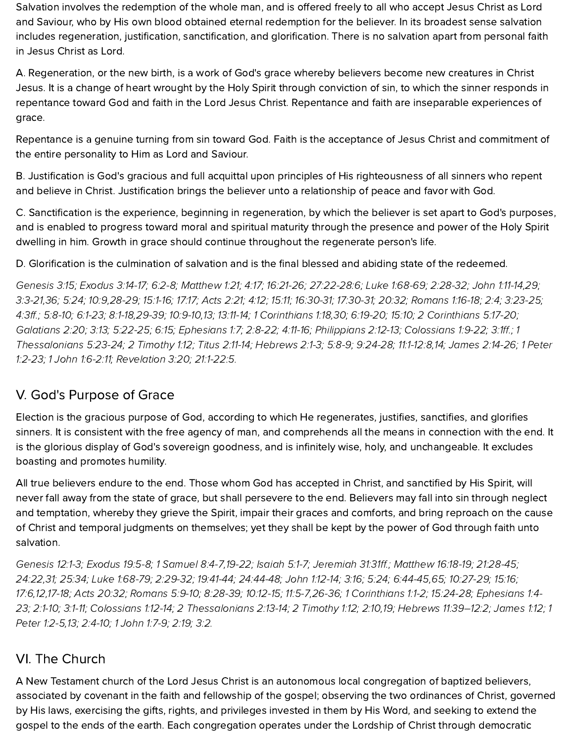Salvation involves the redemption of the whole man, and is offered freely to all who accept Jesus Christ as Lord and Saviour, who by His own blood obtained eternal redemption for the believer. In its broadest sense salvation includes regeneration, justification, sanctification, and glorification. There is no salvation apart from personal faith in Jesus Christ as Lord.

A. Regeneration, or the new birth, is a work of God's grace whereby believers become new creatures in Christ Jesus. It is a change of heart wrought by the Holy Spirit through conviction of sin, to which the sinner responds in repentance toward God and faith in the Lord Jesus Christ. Repentance and faith are inseparable experiences of grace.

Repentance is a genuine turning from sin toward God. Faith is the acceptance of Jesus Christ and commitment of the entire personality to Him as Lord and Saviour.

B. Justification is God's gracious and full acquittal upon principles of His righteousness of all sinners who repent and believe in Christ. Justification brings the believer unto a relationship of peace and favor with God.

C. Sanctification is the experience, beginning in regeneration, by which the believer is set apart to God's purposes, and is enabled to progress toward moral and spiritual maturity through the presence and power of the Holy Spirit dwelling in him. Growth in grace should continue throughout the regenerate person's life.

D. Glorification is the culmination of salvation and is the final blessed and abiding state of the redeemed.

[Genesis](http://biblia.com/bible/hcsb/Genesis%203.15) 3:15; [Exodus](http://biblia.com/bible/hcsb/Exodus%203.14-17) 3:14-17; [6:2-8;](http://biblia.com/bible/hcsb/Exodus%206.2-8) [Matthew](http://biblia.com/bible/hcsb/Matthew%201.21) 1:21; [4:17;](http://biblia.com/bible/hcsb/Matthew%204.17) [16:21-26](http://biblia.com/bible/hcsb/Matthew%2016.21-26); [27:22-28:6](http://biblia.com/bible/hcsb/Matthew%2027.22-28.6); Luke [1:68-69](http://biblia.com/bible/hcsb/Luke%201.68-69); [2:28-32;](http://biblia.com/bible/hcsb/Luke%202.28-32) John [1:11-14](http://biblia.com/bible/hcsb/John%201.11-14),[29](http://biblia.com/bible/hcsb/John%201.29); [3:3-21](http://biblia.com/bible/hcsb/John%203.3-21),[36;](http://biblia.com/bible/hcsb/John%203.36) [5:24](http://biblia.com/bible/hcsb/John%205.24); [10:9](http://biblia.com/bible/hcsb/John%2010.9)[,28-29;](http://biblia.com/bible/hcsb/John%2010.28-29) [15:1-16](http://biblia.com/bible/hcsb/John%2015.1-16); [17:17;](http://biblia.com/bible/hcsb/John%2017.17) [Acts](http://biblia.com/bible/hcsb/Acts%202.21) 2:21; [4:12](http://biblia.com/bible/hcsb/Acts%204.12); [15:11;](http://biblia.com/bible/hcsb/Acts%2015.11) [16:30-31;](http://biblia.com/bible/hcsb/Acts%2016.30-31) [17:30-31](http://biblia.com/bible/hcsb/Acts%2017.30-31); [20:32;](http://biblia.com/bible/hcsb/Acts%2020.32) [Romans](http://biblia.com/bible/hcsb/Romans%201.16-18) 1:16-18; [2:4](http://biblia.com/bible/hcsb/Romans%202.4); [3:23-25;](http://biblia.com/bible/hcsb/Romans%203.23-25) [4:3ff](http://biblia.com/bible/hcsb/Romans%204.3ff).; [5:8-10](http://biblia.com/bible/hcsb/Romans%205.8-10); [6:1-23](http://biblia.com/bible/hcsb/Romans%206.1-23); [8:1-18,](http://biblia.com/bible/hcsb/Romans%208.1-18)[29-39;](http://biblia.com/bible/hcsb/Romans%208.29-39) [10:9-10](http://biblia.com/bible/hcsb/Romans%2010.9-10),[13](http://biblia.com/bible/hcsb/Romans%2010.13); [13:11-14;](http://biblia.com/bible/hcsb/Romans%2013.11-14) 1 [Corinthians](http://biblia.com/bible/hcsb/1%20Corinthians%201.18) 1:18[,30](http://biblia.com/bible/hcsb/1%20Corinthians%201.30); [6:19-20;](http://biblia.com/bible/hcsb/1%20Corinthians%206.19-20) [15:10](http://biblia.com/bible/hcsb/1%20Corinthians%2015.10); 2 [Corinthians](http://biblia.com/bible/hcsb/2%20Corinthians%205.17-20) 5:17-20; [Galatians](http://biblia.com/bible/hcsb/Galatians%202.20) 2:20; [3:13](http://biblia.com/bible/hcsb/Galatians%203.13); [5:22-25](http://biblia.com/bible/hcsb/Galatians%205.22-25); [6:15](http://biblia.com/bible/hcsb/Galatians%206.15); [Ephesians](http://biblia.com/bible/hcsb/Ephesians%201.7) 1:7; [2:8-22;](http://biblia.com/bible/hcsb/Ephesians%202.8-22) [4:11-16;](http://biblia.com/bible/hcsb/Ephesians%204.11-16) [Philippians](http://biblia.com/bible/hcsb/Philippians%202.12-13) 2:12-13; [Colossians](http://biblia.com/bible/hcsb/Colossians%201.9-22) 1:9-22; [3:1ff](http://biblia.com/bible/hcsb/Colossians%203.1ff).; 1 [Thessalonians](http://biblia.com/bible/hcsb/1%20Thessalonians%205.23-24) 5:23-24; 2 [Timothy](http://biblia.com/bible/hcsb/2%20Timothy%201.12) 1:12; Titus [2:11-14;](http://biblia.com/bible/hcsb/Titus%202.11-14) [Hebrews](http://biblia.com/bible/hcsb/Hebrews%202.1-3) 2:1-3; [5:8-9](http://biblia.com/bible/hcsb/Hebrews%205.8-9); [9:24-28;](http://biblia.com/bible/hcsb/Hebrews%209.24-28) [11:1-12:8](http://biblia.com/bible/hcsb/Hebrews%2011.1-12.8),[14](http://biblia.com/bible/hcsb/Hebrews%2011.14); James [2:14-26](http://biblia.com/bible/hcsb/James%202.14-26); 1 Peter 1:2-23; 1 John [1:6-2:11](http://biblia.com/bible/hcsb/1%20John%201.6-2.11); [Revelation](http://biblia.com/bible/hcsb/Revelation%203.20) 3:20; [21:1-22:5](http://biblia.com/bible/hcsb/Revelation%2021.1-22.5).

# V. God's Purpose of Grace

Election is the gracious purpose of God, according to which He regenerates, justifies, sanctifies, and glorifies sinners. It is consistent with the free agency of man, and comprehends all the means in connection with the end. It is the glorious display of God's sovereign goodness, and is infinitely wise, holy, and unchangeable. It excludes boasting and promotes humility.

All true believers endure to the end. Those whom God has accepted in Christ, and sanctified by His Spirit, will never fall away from the state of grace, but shall persevere to the end. Believers may fall into sin through neglect and temptation, whereby they grieve the Spirit, impair their graces and comforts, and bring reproach on the cause of Christ and temporal judgments on themselves; yet they shall be kept by the power of God through faith unto salvation.

[Genesis](http://biblia.com/bible/hcsb/Genesis%2012.1-3) 12:1-3; [Exodus](http://biblia.com/bible/hcsb/Exodus%2019.5-8) 19:5-8; 1 [Samuel](http://biblia.com/bible/hcsb/1%20Samuel%208.4-7) 8:4-7,[19-22](http://biblia.com/bible/hcsb/1%20Samuel%208.19-22); [Isaiah](http://biblia.com/bible/hcsb/Isaiah%205.1-7) 5:1-7; [Jeremiah](http://biblia.com/bible/hcsb/Jeremiah%2031.31ff) 31:31ff.; [Matthew](http://biblia.com/bible/hcsb/Matthew%2016.18-19) 16:18-19; [21:28-45](http://biblia.com/bible/hcsb/Matthew%2021.28-45); [24:22](http://biblia.com/bible/hcsb/Matthew%2024.22),[31](http://biblia.com/bible/hcsb/Matthew%2024.31); [25:34](http://biblia.com/bible/hcsb/Matthew%2025.34); Luke [1:68-79](http://biblia.com/bible/hcsb/Luke%201.68-79); [2:29-32;](http://biblia.com/bible/hcsb/Luke%202.29-32) [19:41-44;](http://biblia.com/bible/hcsb/Luke%2019.41-44) [24:44-48](http://biblia.com/bible/hcsb/Luke%2024.44-48); John [1:12-14;](http://biblia.com/bible/hcsb/John%201.12-14) [3:16](http://biblia.com/bible/hcsb/John%203.16); [5:24](http://biblia.com/bible/hcsb/John%205.24); [6:44-45](http://biblia.com/bible/hcsb/John%206.44-45)[,65](http://biblia.com/bible/hcsb/John%206.65); [10:27-29](http://biblia.com/bible/hcsb/John%2010.27-29); [15:16](http://biblia.com/bible/hcsb/John%2015.16); [17:6](http://biblia.com/bible/hcsb/John%2017.6)[,12,](http://biblia.com/bible/hcsb/John%2017.12)[17-18](http://biblia.com/bible/hcsb/John%2017.17-18); Acts [20:32;](http://biblia.com/bible/hcsb/Acts%2020.32) [Romans](http://biblia.com/bible/hcsb/Romans%205.9-10) 5:9-10; [8:28-39;](http://biblia.com/bible/hcsb/Romans%208.28-39) [10:12-15;](http://biblia.com/bible/hcsb/Romans%2010.12-15) [11:5-7](http://biblia.com/bible/hcsb/Romans%2011.5-7)[,26-36](http://biblia.com/bible/hcsb/Romans%2011.26-36); 1 [Corinthians](http://biblia.com/bible/hcsb/1%20Corinthians%201.1-2) 1:1-2; [15:24-28;](http://biblia.com/bible/hcsb/1%20Corinthians%2015.24-28) Ephesians 1:4- 23; [2:1-10](http://biblia.com/bible/hcsb/Ephesians%202.1-10); [3:1-11](http://biblia.com/bible/hcsb/Ephesians%203.1-11); [Colossians](http://biblia.com/bible/hcsb/Colossians%201.12-14) 1:12-14; 2 [Thessalonians](http://biblia.com/bible/hcsb/Ephesians%201.4-23) 2:13-14; 2 [Timothy](http://biblia.com/bible/hcsb/2%20Timothy%201.12) 1:12; [2:10](http://biblia.com/bible/hcsb/2%20Timothy%202.10),[19](http://biblia.com/bible/hcsb/2%20Timothy%202.19); Hebrews [11:39–12:2;](http://biblia.com/bible/hcsb/Hebrews%2011.39%E2%80%9312.2) [James](http://biblia.com/bible/hcsb/James%201.12) 1:12; 1 Peter 1:2-5[,13;](http://biblia.com/bible/hcsb/1%20Peter%201.13) [2:4-10](http://biblia.com/bible/hcsb/1%20Peter%202.4-10); 1 [John](http://biblia.com/bible/hcsb/1%20John%201.7-9) 1:7-9; [2:19;](http://biblia.com/bible/hcsb/1%20John%202.19) [3:2.](http://biblia.com/bible/hcsb/1%20John%203.2)

# VI. The Church

A New Testament church of the Lord Jesus Christ is an autonomous local congregation of baptized believers, associated by covenant in the faith and fellowship of the gospel; observing the two ordinances of Christ, governed by His laws, exercising the gifts, rights, and privileges invested in them by His Word, and seeking to extend the gospel to the ends of the earth. Each congregation operates under the Lordship of Christ through democratic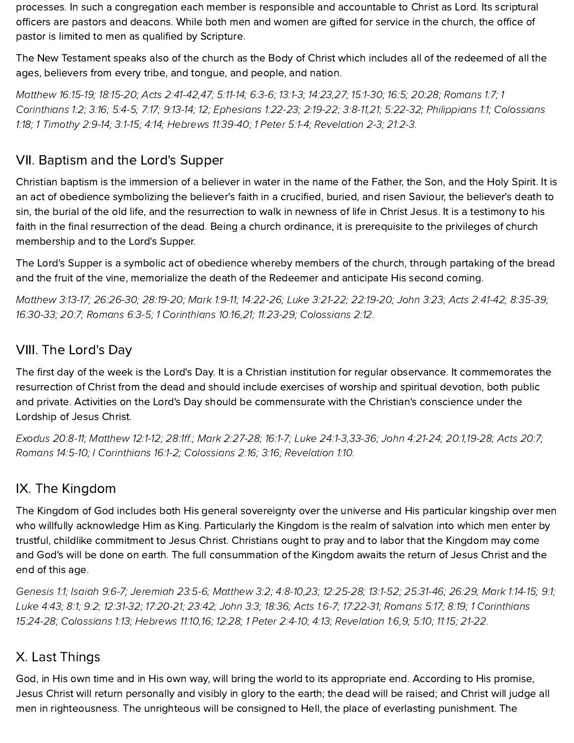processes. In such a congregation each member is responsible and accountable to Christ as Lord. Its scriptural officers are pastors and deacons. While both men and women are gifted for service in the church, the office of pastor is limited to men as qualified by Scripture.

The New Testament speaks also of the church as the Body of Christ which includes all of the redeemed of all the ages, believers from every tribe, and tongue, and people, and nation.

[Matthew](http://biblia.com/bible/hcsb/Matthew%2016.15-19) 16:15-19; [18:15-20;](http://biblia.com/bible/hcsb/Matthew%2018.15-20) Acts [2:41-42,](http://biblia.com/bible/hcsb/Acts%202.41-42)[47](http://biblia.com/bible/hcsb/Acts%202.47); [5:11-14](http://biblia.com/bible/hcsb/Acts%205.11-14); [6:3-6](http://biblia.com/bible/hcsb/Acts%206.3-6); [13:1-3;](http://biblia.com/bible/hcsb/Acts%2013.1-3) [14:23,](http://biblia.com/bible/hcsb/Acts%2014.23)[27;](http://biblia.com/bible/hcsb/Acts%2014.27) [15:1-30](http://biblia.com/bible/hcsb/Acts%2015.1-30); [16:5;](http://biblia.com/bible/hcsb/Acts%2016.5) [20:28;](http://biblia.com/bible/hcsb/Acts%2020.28) [Romans](http://biblia.com/bible/hcsb/Romans%201.7) 1:7; 1 [Corinthians](http://biblia.com/bible/hcsb/1%20Corinthians%201.2) 1:2; [3:16;](http://biblia.com/bible/hcsb/1%20Corinthians%203.16) [5:4-5;](http://biblia.com/bible/hcsb/1%20Corinthians%205.4-5) [7:17;](http://biblia.com/bible/hcsb/1%20Corinthians%207.17) [9:13-14;](http://biblia.com/bible/hcsb/1%20Corinthians%209.13-14) [12;](http://biblia.com/bible/hcsb/1%20Corinthians%209.12) [Ephesians](http://biblia.com/bible/hcsb/Ephesians%201.22-23) 1:22-23; [2:19-22;](http://biblia.com/bible/hcsb/Ephesians%202.19-22) [3:8-11](http://biblia.com/bible/hcsb/Ephesians%203.8-11)[,21](http://biblia.com/bible/hcsb/Ephesians%203.21); [5:22-32;](http://biblia.com/bible/hcsb/Ephesians%205.22-32) [Philippians](http://biblia.com/bible/hcsb/Philippians%201.1) 1:1; Colossians 1:18; 1 [Timothy](http://biblia.com/bible/hcsb/1%20Timothy%202.9-14) 2:9-14; [3:1-15](http://biblia.com/bible/hcsb/1%20Timothy%203.1-15); [4:14](http://biblia.com/bible/hcsb/1%20Timothy%204.14); [Hebrews](http://biblia.com/bible/hcsb/Hebrews%2011.39-40) 11:39-40; 1 [Peter](http://biblia.com/bible/hcsb/1%20Peter%205.1-4) 5:1-4; Revelation 2-3; 21:2-3.

## VII. Baptism and the Lord's Supper

Christian baptism is the immersion of a believer in water in the name of the Father, the Son, and the Holy Spirit. It is an act of obedience symbolizing the believer's faith in a crucified, buried, and risen Saviour, the believer's death to sin, the burial of the old life, and the resurrection to walk in newness of life in Christ Jesus. It is a testimony to his faith in the final resurrection of the dead. Being a church ordinance, it is prerequisite to the privileges of church membership and to the Lord's Supper.

The Lord's Supper is a symbolic act of obedience whereby members of the church, through partaking of the bread and the fruit of the vine, memorialize the death of the Redeemer and anticipate His second coming.

[Matthew](http://biblia.com/bible/hcsb/Matthew%203.13-17) 3:13-17; [26:26-30;](http://biblia.com/bible/hcsb/Matthew%2026.26-30) [28:19-20;](http://biblia.com/bible/hcsb/Matthew%2028.19-20) [Mark](http://biblia.com/bible/hcsb/Mark%201.9-11) 1:9-11; [14:22-26;](http://biblia.com/bible/hcsb/Mark%2014.22-26) Luke [3:21-22;](http://biblia.com/bible/hcsb/Luke%203.21-22) [22:19-20](http://biblia.com/bible/hcsb/Luke%2022.19-20); [John](http://biblia.com/bible/hcsb/John%203.23) 3:23; Acts [2:41-42](http://biblia.com/bible/hcsb/Acts%202.41-42); [8:35-39;](http://biblia.com/bible/hcsb/Acts%208.35-39) [16:30-33](http://biblia.com/bible/hcsb/Acts%2016.30-33); [20:7](http://biblia.com/bible/hcsb/Acts%2020.7); [Romans](http://biblia.com/bible/hcsb/Romans%206.3-5) 6:3-5; 1 [Corinthians](http://biblia.com/bible/hcsb/1%20Corinthians%2010.16) 10:16,[21;](http://biblia.com/bible/hcsb/1%20Corinthians%2010.21) [11:23-29;](http://biblia.com/bible/hcsb/1%20Corinthians%2011.23-29) [Colossians](http://biblia.com/bible/hcsb/Colossians%202.12) 2:12.

### VIII. The Lord's Day

The first day of the week is the Lord's Day. It is a Christian institution for regular observance. It commemorates the resurrection of Christ from the dead and should include exercises of worship and spiritual devotion, both public and private. Activities on the Lord's Day should be commensurate with the Christian's conscience under the Lordship of Jesus Christ.

[Exodus](http://biblia.com/bible/hcsb/Exodus%2020.8-11) 20:8-11; [Matthew](http://biblia.com/bible/hcsb/Matthew%2012.1-12) 12:1-12; [28:1ff](http://biblia.com/bible/hcsb/Matthew%2028.1ff).; Mark [2:27-28;](http://biblia.com/bible/hcsb/Mark%202.27-28) [16:1-7;](http://biblia.com/bible/hcsb/Mark%2016.1-7) Luke [24:1-3](http://biblia.com/bible/hcsb/Luke%2024.1-3),[33-36;](http://biblia.com/bible/hcsb/Luke%2024.33-36) John [4:21-24](http://biblia.com/bible/hcsb/John%204.21-24); [20:1,](http://biblia.com/bible/hcsb/John%2020.1)[19-28](http://biblia.com/bible/hcsb/John%2020.19-28); Acts [20:7;](http://biblia.com/bible/hcsb/Acts%2020.7) [Romans](http://biblia.com/bible/hcsb/Romans%2014.5-10) 14:5-10; I [Corinthians](http://biblia.com/bible/hcsb/I%20Corinthians%2016.1-2) 16:1-2; [Colossians](http://biblia.com/bible/hcsb/Colossians%202.16) 2:16; [3:16](http://biblia.com/bible/hcsb/Colossians%203.16); [Revelation](http://biblia.com/bible/hcsb/Revelation%201.10) 1:10.

# IX. The Kingdom

The Kingdom of God includes both His general sovereignty over the universe and His particular kingship over men who willfully acknowledge Him as King. Particularly the Kingdom is the realm of salvation into which men enter by trustful, childlike commitment to Jesus Christ. Christians ought to pray and to labor that the Kingdom may come and God's will be done on earth. The full consummation of the Kingdom awaits the return of Jesus Christ and the end of this age.

[Genesis](http://biblia.com/bible/hcsb/Genesis%201.1) 1:1; [Isaiah](http://biblia.com/bible/hcsb/Isaiah%209.6-7) 9:6-7; [Jeremiah](http://biblia.com/bible/hcsb/Jeremiah%2023.5-6) 23:5-6; [Matthew](http://biblia.com/bible/hcsb/Matthew%203.2) 3:2; [4:8-10](http://biblia.com/bible/hcsb/Matthew%204.8-10)[,23](http://biblia.com/bible/hcsb/Matthew%204.23); [12:25-28;](http://biblia.com/bible/hcsb/Matthew%2012.25-28) [13:1-52](http://biblia.com/bible/hcsb/Matthew%2013.1-52); [25:31-46;](http://biblia.com/bible/hcsb/Matthew%2025.31-46) [26:29;](http://biblia.com/bible/hcsb/Matthew%2026.29) Mark [1:14-15](http://biblia.com/bible/hcsb/Mark%201.14-15); [9:1;](http://biblia.com/bible/hcsb/Mark%209.1) [Luke](http://biblia.com/bible/hcsb/Luke%204.43) 4:43; [8:1;](http://biblia.com/bible/hcsb/Luke%208.1) [9:2;](http://biblia.com/bible/hcsb/Luke%209.2) [12:31-32](http://biblia.com/bible/hcsb/Luke%2012.31-32); [17:20-21;](http://biblia.com/bible/hcsb/Luke%2017.20-21) [23:42](http://biblia.com/bible/hcsb/Luke%2023.42); [John](http://biblia.com/bible/hcsb/John%203.3) 3:3; [18:36](http://biblia.com/bible/hcsb/John%2018.36); Acts [1:6-7;](http://biblia.com/bible/hcsb/Acts%201.6-7) [17:22-31;](http://biblia.com/bible/hcsb/Acts%2017.22-31) [Romans](http://biblia.com/bible/hcsb/Romans%205.17) 5:17; [8:19](http://biblia.com/bible/hcsb/Romans%208.19); 1 [Corinthians](http://biblia.com/bible/hcsb/1%20Corinthians%2015.24-28) 15:24-28; [Colossians](http://biblia.com/bible/hcsb/Colossians%201.13) 1:13; [Hebrews](http://biblia.com/bible/hcsb/Hebrews%2011.10) 11:10[,16;](http://biblia.com/bible/hcsb/Hebrews%2011.16) [12:28](http://biblia.com/bible/hcsb/Hebrews%2012.28); 1 Peter [2:4-10](http://biblia.com/bible/hcsb/1%20Peter%202.4-10); [4:13](http://biblia.com/bible/hcsb/1%20Peter%204.13); [Revelation](http://biblia.com/bible/hcsb/Revelation%201.6) 1:6,[9;](http://biblia.com/bible/hcsb/Revelation%201.9) [5:10;](http://biblia.com/bible/hcsb/Revelation%205.10) [11:15;](http://biblia.com/bible/hcsb/Revelation%2011.15) [21-22](http://biblia.com/bible/hcsb/Revelation%2011.21-22).

#### X. Last Things

God, in His own time and in His own way, will bring the world to its appropriate end. According to His promise, Jesus Christ will return personally and visibly in glory to the earth; the dead will be raised; and Christ will judge all men in righteousness. The unrighteous will be consigned to Hell, the place of everlasting punishment. The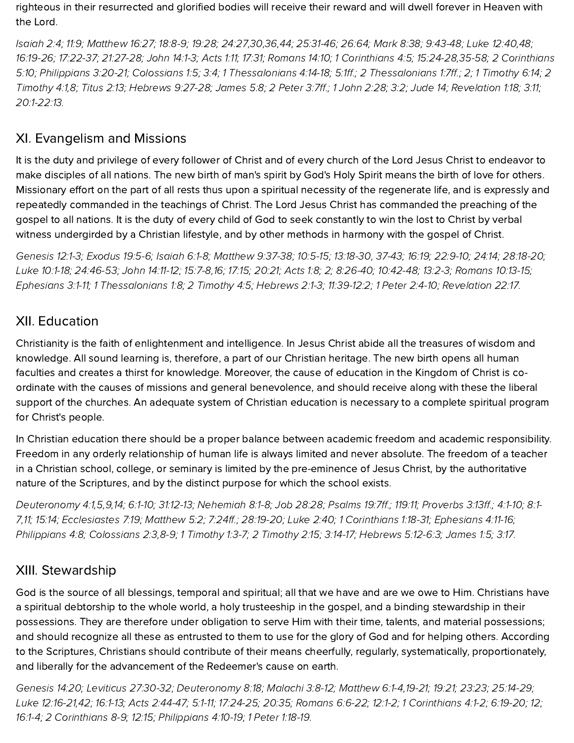righteous in their resurrected and glorified bodies will receive their reward and will dwell forever in Heaven with the Lord.

[Isaiah](http://biblia.com/bible/hcsb/Isaiah%202.4) 2:4; [11:9;](http://biblia.com/bible/hcsb/Isaiah%2011.9) [Matthew](http://biblia.com/bible/hcsb/Matthew%2016.27) 16:27; [18:8-9;](http://biblia.com/bible/hcsb/Matthew%2018.8-9) [19:28](http://biblia.com/bible/hcsb/Matthew%2019.28); [24:27,](http://biblia.com/bible/hcsb/Matthew%2024.27)[30](http://biblia.com/bible/hcsb/Matthew%2024.30),[36](http://biblia.com/bible/hcsb/Matthew%2024.36)[,44](http://biblia.com/bible/hcsb/Matthew%2024.44); [25:31-46](http://biblia.com/bible/hcsb/Matthew%2025.31-46); [26:64](http://biblia.com/bible/hcsb/Matthew%2026.64); [Mark](http://biblia.com/bible/hcsb/Mark%208.38) 8:38; [9:43-48;](http://biblia.com/bible/hcsb/Mark%209.43-48) Luke [12:40](http://biblia.com/bible/hcsb/Luke%2012.40),[48;](http://biblia.com/bible/hcsb/Luke%2012.48) [16:19-26](http://biblia.com/bible/hcsb/Luke%2016.19-26); [17:22-37;](http://biblia.com/bible/hcsb/Luke%2017.22-37) [21:27-28;](http://biblia.com/bible/hcsb/Luke%2021.27-28) John [14:1-3;](http://biblia.com/bible/hcsb/John%2014.1-3) [Acts](http://biblia.com/bible/hcsb/Acts%201.11) 1:11; [17:31](http://biblia.com/bible/hcsb/Acts%2017.31); [Romans](http://biblia.com/bible/hcsb/Romans%2014.10) 14:10; 1 [Corinthians](http://biblia.com/bible/hcsb/1%20Corinthians%204.5) 4:5; [1](http://biblia.com/bible/hcsb/2%20Corinthians%205.10)[5:24-28](http://biblia.com/bible/hcsb/1%20Corinthians%2015.24-28)[,](http://biblia.com/bible/hcsb/2%20Corinthians%205.10)[35-5](http://biblia.com/bible/hcsb/1%20Corinthians%2015.35-58)[8;](http://biblia.com/bible/hcsb/2%20Corinthians%205.10) 2 Corinthians 5:10; [Philippians](http://biblia.com/bible/hcsb/Philippians%203.20-21) 3:20-21; [Colossians](http://biblia.com/bible/hcsb/Colossians%201.5) 1:5; [3:4](http://biblia.com/bible/hcsb/Colossians%203.4); 1 [Thessalonians](http://biblia.com/bible/hcsb/1%20Thessalonians%204.14-18) 4:14-18; [5:1ff](http://biblia.com/bible/hcsb/1%20Thessalonians%205.1ff).; 2 [Thessalonians](http://biblia.com/bible/hcsb/2%20Thessalonians%201.7ff) 1:7ff.; [2](http://biblia.com/bible/hcsb/2%20Thessalonians%201.2); 1 [Timothy](http://biblia.com/bible/hcsb/1%20Timothy%206.14) 6:14; 2 Timothy 4:1,[8](http://biblia.com/bible/hcsb/2%20Timothy%204.8); [Titus](http://biblia.com/bible/hcsb/Titus%202.13) 2:13; [Hebrews](http://biblia.com/bible/hcsb/Hebrews%209.27-28) 9:27-28; [James](http://biblia.com/bible/hcsb/James%205.8) 5:8; 2 [Peter](http://biblia.com/bible/hcsb/2%20Peter%203.7ff) 3:7ff.; 1 [John](http://biblia.com/bible/hcsb/1%20John%202.28) 2:28; [3:2;](http://biblia.com/bible/hcsb/1%20John%203.2) [Jude](http://biblia.com/bible/hcsb/Jude%2014) 14; [Revelation](http://biblia.com/bible/hcsb/Revelation%201.18) 1:18; [3:11](http://biblia.com/bible/hcsb/Revelation%203.11); [20:1-22:13](http://biblia.com/bible/hcsb/Revelation%2020.1-22.13).

## XI. Evangelism and Missions

It is the duty and privilege of every follower of Christ and of every church of the Lord Jesus Christ to endeavor to make disciples of all nations. The new birth of man's spirit by God's Holy Spirit means the birth of love for others. Missionary effort on the part of all rests thus upon a spiritual necessity of the regenerate life, and is expressly and repeatedly commanded in the teachings of Christ. The Lord Jesus Christ has commanded the preaching of the gospel to all nations. It is the duty of every child of God to seek constantly to win the lost to Christ by verbal witness undergirded by a Christian lifestyle, and by other methods in harmony with the gospel of Christ.

[Genesis](http://biblia.com/bible/hcsb/Genesis%2012.1-3) 12:1-3; [Exodus](http://biblia.com/bible/hcsb/Exodus%2019.5-6) 19:5-6; [Isaiah](http://biblia.com/bible/hcsb/Isaiah%206.1-8) 6:1-8; [Matthew](http://biblia.com/bible/hcsb/Matthew%209.37-38) 9:37-38; [10:5-15](http://biblia.com/bible/hcsb/Matthew%2010.5-15); [13:18-30](http://biblia.com/bible/hcsb/Matthew%2013.18-30), [37-43;](http://biblia.com/bible/hcsb/Matthew%2013.37-43) [16:19](http://biblia.com/bible/hcsb/Matthew%2016.19); [22:9-10](http://biblia.com/bible/hcsb/Matthew%2022.9-10); [24:14](http://biblia.com/bible/hcsb/Matthew%2024.14); [28:18-20](http://biblia.com/bible/hcsb/Matthew%2028.18-20); Luke [10:1-18;](http://biblia.com/bible/hcsb/Luke%2010.1-18) [24:46-53](http://biblia.com/bible/hcsb/Luke%2024.46-53); John [14:11-12](http://biblia.com/bible/hcsb/John%2014.11-12); [15:7-8,](http://biblia.com/bible/hcsb/John%2015.7-8)[16](http://biblia.com/bible/hcsb/John%2015.16); [17:15](http://biblia.com/bible/hcsb/John%2017.15); [20:21](http://biblia.com/bible/hcsb/John%2020.21); [Acts](http://biblia.com/bible/hcsb/Acts%201.8) 1:8; [2](http://biblia.com/bible/hcsb/Acts%201.2); [8:26-40](http://biblia.com/bible/hcsb/Acts%208.26-40); [10:42-48;](http://biblia.com/bible/hcsb/Acts%2010.42-48) [13:2-3](http://biblia.com/bible/hcsb/Acts%2013.2-3); [Romans](http://biblia.com/bible/hcsb/Romans%2010.13-15) 10:13-15; [Ephesians](http://biblia.com/bible/hcsb/Ephesians%203.1-11) 3:1-11; 1 [Thessalonians](http://biblia.com/bible/hcsb/1%20Thessalonians%201.8) 1:8; 2 [Timothy](http://biblia.com/bible/hcsb/2%20Timothy%204.5) 4:5; [Hebrews](http://biblia.com/bible/hcsb/Hebrews%202.1-3) 2:1-3; [11:39-12:2;](http://biblia.com/bible/hcsb/Hebrews%2011.39-12.2) 1 Peter [2:4-10](http://biblia.com/bible/hcsb/1%20Peter%202.4-10); [Revelation](http://biblia.com/bible/hcsb/Revelation%2022.17) 22:17.

#### XII. Education

Christianity is the faith of enlightenment and intelligence. In Jesus Christ abide all the treasures of wisdom and knowledge. All sound learning is, therefore, a part of our Christian heritage. The new birth opens all human faculties and creates a thirst for knowledge. Moreover, the cause of education in the Kingdom of Christ is coordinate with the causes of missions and general benevolence, and should receive along with these the liberal support of the churches. An adequate system of Christian education is necessary to a complete spiritual program for Christ's people.

In Christian education there should be a proper balance between academic freedom and academic responsibility. Freedom in any orderly relationship of human life is always limited and never absolute. The freedom of a teacher in a Christian school, college, or seminary is limited by the pre-eminence of Jesus Christ, by the authoritative nature of the Scriptures, and by the distinct purpose for which the school exists.

[Deuteronomy](http://biblia.com/bible/hcsb/Deuteronomy%204.1) 4:1,[5](http://biblia.com/bible/hcsb/Deuteronomy%204.5)[,9](http://biblia.com/bible/hcsb/Deuteronomy%204.9),[14;](http://biblia.com/bible/hcsb/Deuteronomy%204.14) [6:1-10](http://biblia.com/bible/hcsb/Deuteronomy%206.1-10); [31:12-13;](http://biblia.com/bible/hcsb/Deuteronomy%2031.12-13) [Nehemiah](http://biblia.com/bible/hcsb/Nehemiah%208.1-8) 8:1-8; Job [28:28;](http://biblia.com/bible/hcsb/Job%2028.28) [Psalms](http://biblia.com/bible/hcsb/Psalms%2019.7ff) 19:7ff.; [119:11](http://biblia.com/bible/hcsb/Psalms%20119.11); [Proverbs](http://biblia.com/bible/hcsb/Proverbs%203.13ff) 3:13ff.; [4:1-10](http://biblia.com/bible/hcsb/Proverbs%204.1-10); 8:1- 7,[11;](http://biblia.com/bible/hcsb/Proverbs%208.11) [15:14;](http://biblia.com/bible/hcsb/Proverbs%2015.14) [Ecclesiastes](http://biblia.com/bible/hcsb/Ecclesiastes%207.19) 7:19; [Matthew](http://biblia.com/bible/hcsb/Matthew%205.2) 5:2; [7:24ff](http://biblia.com/bible/hcsb/Matthew%207.24ff).; [28:19-20;](http://biblia.com/bible/hcsb/Matthew%2028.19-20) [Luke](http://biblia.com/bible/hcsb/Luke%202.40) 2:40; 1 [Corinthians](http://biblia.com/bible/hcsb/1%20Corinthians%201.18-31) 1:18-31; [Ephesians](http://biblia.com/bible/hcsb/Ephesians%204.11-16) 4:11-16; [Philippians](http://biblia.com/bible/hcsb/Philippians%204.8) 4:8; [Colossians](http://biblia.com/bible/hcsb/Colossians%202.3) 2:3,[8-9;](http://biblia.com/bible/hcsb/Colossians%202.8-9) 1 [Timothy](http://biblia.com/bible/hcsb/1%20Timothy%201.3-7) 1:3-7; 2 [Timothy](http://biblia.com/bible/hcsb/2%20Timothy%202.15) 2:15; [3:14-17](http://biblia.com/bible/hcsb/2%20Timothy%203.14-17); [Hebrews](http://biblia.com/bible/hcsb/Hebrews%205.12-6.3) 5:12-6:3; [James](http://biblia.com/bible/hcsb/James%201.5) 1:5; [3:17](http://biblia.com/bible/hcsb/James%203.17).

### XIII. Stewardship

God is the source of all blessings, temporal and spiritual; all that we have and are we owe to Him. Christians have a spiritual debtorship to the whole world, a holy trusteeship in the gospel, and a binding stewardship in their possessions. They are therefore under obligation to serve Him with their time, talents, and material possessions; and should recognize all these as entrusted to them to use for the glory of God and for helping others. According to the Scriptures, Christians should contribute of their means cheerfully, regularly, systematically, proportionately, and liberally for the advancement of the Redeemer's cause on earth.

[Genesis](http://biblia.com/bible/hcsb/Genesis%2014.20) 14:20; Leviticus [27:30-32;](http://biblia.com/bible/hcsb/Leviticus%2027.30-32) [Deuteronomy](http://biblia.com/bible/hcsb/Deuteronomy%208.18) 8:18; [Malachi](http://biblia.com/bible/hcsb/Malachi%203.8-12) 3:8-12; [Matthew](http://biblia.com/bible/hcsb/Matthew%206.1-4) 6:1-4[,19-21](http://biblia.com/bible/hcsb/Matthew%206.19-21); [19:21;](http://biblia.com/bible/hcsb/Matthew%2019.21) [23:23;](http://biblia.com/bible/hcsb/Matthew%2023.23) [25:14-29;](http://biblia.com/bible/hcsb/Matthew%2025.14-29) Luke [12:16-21](http://biblia.com/bible/hcsb/Luke%2012.16-21),[42;](http://biblia.com/bible/hcsb/Luke%2012.42) [16:1-13;](http://biblia.com/bible/hcsb/Luke%2016.1-13) Acts [2:44-47;](http://biblia.com/bible/hcsb/Acts%202.44-47) [5:1-11](http://biblia.com/bible/hcsb/Acts%205.1-11); [17:24-25](http://biblia.com/bible/hcsb/Acts%2017.24-25); [20:35](http://biblia.com/bible/hcsb/Acts%2020.35); [Romans](http://biblia.com/bible/hcsb/Romans%206.6-22) 6:6-22; [12:1-2](http://biblia.com/bible/hcsb/Romans%2012.1-2); 1 [Corinthians](http://biblia.com/bible/hcsb/1%20Corinthians%204.1-2) 4:1-2; [6:19-20;](http://biblia.com/bible/hcsb/1%20Corinthians%206.19-20) [12;](http://biblia.com/bible/hcsb/1%20Corinthians%206.12) [16:1-4;](http://biblia.com/bible/hcsb/1%20Corinthians%2016.1-4) 2 Corinthians 8-9; 12:15; [Philippians](http://biblia.com/bible/hcsb/Philippians%204.10-19) 4:10-19; 1 Peter [1:18-19.](http://biblia.com/bible/hcsb/1%20Peter%201.18-19)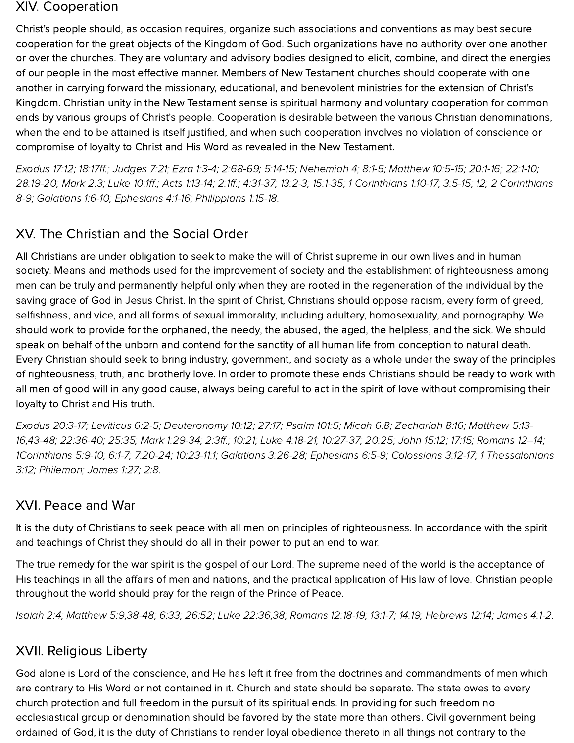#### XIV. Cooperation

Christ's people should, as occasion requires, organize such associations and conventions as may best secure cooperation for the great objects of the Kingdom of God. Such organizations have no authority over one another or over the churches. They are voluntary and advisory bodies designed to elicit, combine, and direct the energies of our people in the most effective manner. Members of New Testament churches should cooperate with one another in carrying forward the missionary, educational, and benevolent ministries for the extension of Christ's Kingdom. Christian unity in the New Testament sense is spiritual harmony and voluntary cooperation for common ends by various groups of Christ's people. Cooperation is desirable between the various Christian denominations, when the end to be attained is itself justified, and when such cooperation involves no violation of conscience or compromise of loyalty to Christ and His Word as revealed in the New Testament.

[Exodus](http://biblia.com/bible/hcsb/Exodus%2017.12) 17:12; [18:17ff](http://biblia.com/bible/hcsb/Exodus%2018.17ff).; [Judges](http://biblia.com/bible/hcsb/Judges%207.21) 7:21; Ezra [1:3-4;](http://biblia.com/bible/hcsb/Ezra%201.3-4) [2:68-69;](http://biblia.com/bible/hcsb/Ezra%202.68-69) [5:14-15;](http://biblia.com/bible/hcsb/Ezra%205.14-15) Nehemiah 4; 8:1-5; [Matthew](http://biblia.com/bible/hcsb/Matthew%2010.5-15) 10:5-15; [20:1-16](http://biblia.com/bible/hcsb/Matthew%2020.1-16); [22:1-10](http://biblia.com/bible/hcsb/Matthew%2022.1-10); [28:19-20;](http://biblia.com/bible/hcsb/Matthew%2028.19-20) [Mark](http://biblia.com/bible/hcsb/Mark%202.3) 2:3; [Luke](http://biblia.com/bible/hcsb/Luke%2010.1ff) 10:1ff.; Acts [1:13-14](http://biblia.com/bible/hcsb/Acts%201.13-14); [2:1ff.](http://biblia.com/bible/hcsb/Acts%202.1ff); [4:31-37;](http://biblia.com/bible/hcsb/Acts%204.31-37) [13:2-3](http://biblia.com/bible/hcsb/Acts%2013.2-3); [15:1-35;](http://biblia.com/bible/hcsb/Acts%2015.1-35) 1 [Corinthians](http://biblia.com/bible/hcsb/1%20Corinthians%201.10-17) 1:10-17; [3:5-15](http://biblia.com/bible/hcsb/1%20Corinthians%203.5-15); [12](http://biblia.com/bible/hcsb/1%20Corinthians%203.12); 2 Corinthians 8-9; [Galatians](http://biblia.com/bible/hcsb/Galatians%201.6-10) 1:6-10; [Ephesians](http://biblia.com/bible/hcsb/Ephesians%204.1-16) 4:1-16; [Philippians](http://biblia.com/bible/hcsb/Philippians%201.15-18) 1:15-18.

# XV. The Christian and the Social Order

All Christians are under obligation to seek to make the will of Christ supreme in our own lives and in human society. Means and methods used for the improvement of society and the establishment of righteousness among men can be truly and permanently helpful only when they are rooted in the regeneration of the individual by the saving grace of God in Jesus Christ. In the spirit of Christ, Christians should oppose racism, every form of greed, selfishness, and vice, and all forms of sexual immorality, including adultery, homosexuality, and pornography. We should work to provide for the orphaned, the needy, the abused, the aged, the helpless, and the sick. We should speak on behalf of the unborn and contend for the sanctity of all human life from conception to natural death. Every Christian should seek to bring industry, government, and society as a whole under the sway of the principles of righteousness, truth, and brotherly love. In order to promote these ends Christians should be ready to work with all men of good will in any good cause, always being careful to act in the spirit of love without compromising their loyalty to Christ and His truth.

[Exodus](http://biblia.com/bible/hcsb/Exodus%2020.3-17) 20:3-17; [Leviticus](http://biblia.com/bible/hcsb/Leviticus%206.2-5) 6:2-5; [D](http://biblia.com/bible/hcsb/Matthew%205.13-16)[euteronomy](http://biblia.com/bible/hcsb/Deuteronomy%2010.12) 10:12; [27:17;](http://biblia.com/bible/hcsb/Deuteronomy%2027.17) [Psalm](http://biblia.com/bible/hcsb/Psalm%20101.5) 101:5; [Micah](http://biblia.com/bible/hcsb/Micah%206.8) 6:8; [Zechariah](http://biblia.com/bible/hcsb/Zechariah%208.16) 8:16; Matthew 5:13- 16[,43-48;](http://biblia.com/bible/hcsb/Matthew%205.43-48) [22:36-40](http://biblia.com/bible/hcsb/Matthew%2022.36-40); [25:35;](http://biblia.com/bible/hcsb/Matthew%2025.35) Mark [1:29-34;](http://biblia.com/bible/hcsb/Mark%201.29-34) [2:3ff](http://biblia.com/bible/hcsb/Mark%202.3ff).; [10:21](http://biblia.com/bible/hcsb/Mark%2010.21); Luke [4:18-21;](http://biblia.com/bible/hcsb/Luke%204.18-21) [10:27-37;](http://biblia.com/bible/hcsb/Luke%2010.27-37) [20:25;](http://biblia.com/bible/hcsb/Luke%2020.25) [John](http://biblia.com/bible/hcsb/John%2015.12) 15:12; [17:15](http://biblia.com/bible/hcsb/John%2017.15); Romans 12–14; [1Corinthians](http://biblia.com/bible/hcsb/1Corinthians%205.9-10) 5:9-10; [6:1-7](http://biblia.com/bible/hcsb/1Corinthians%206.1-7); [7:20-24](http://biblia.com/bible/hcsb/1Corinthians%207.20-24); [10:23-11:1](http://biblia.com/bible/hcsb/1Corinthians%2010.23-11.1); [Galatians](http://biblia.com/bible/hcsb/Galatians%203.26-28) 3:26-28; [Ephesians](http://biblia.com/bible/hcsb/Ephesians%206.5-9) 6:5-9; [Colossians](http://biblia.com/bible/hcsb/Colossians%203.12-17) 3:12-17; 1 [Thessalonians](http://biblia.com/bible/hcsb/1%20Thessalonians%203.12) 3:12; Philemon; [James](http://biblia.com/bible/hcsb/James%201.27) 1:27; [2:8.](http://biblia.com/bible/hcsb/James%202.8)

#### XVI. Peace and War

It is the duty of Christians to seek peace with all men on principles of righteousness. In accordance with the spirit and teachings of Christ they should do all in their power to put an end to war.

The true remedy for the war spirit is the gospel of our Lord. The supreme need of the world is the acceptance of His teachings in all the affairs of men and nations, and the practical application of His law of love. Christian people throughout the world should pray for the reign of the Prince of Peace.

[Isaiah](http://biblia.com/bible/hcsb/Isaiah%202.4) 2:4; [Matthew](http://biblia.com/bible/hcsb/Matthew%205.9) 5:9,[38-48;](http://biblia.com/bible/hcsb/Matthew%205.38-48) [6:33](http://biblia.com/bible/hcsb/Matthew%206.33); [26:52](http://biblia.com/bible/hcsb/Matthew%2026.52); Luke [22:36,](http://biblia.com/bible/hcsb/Luke%2022.36)[38](http://biblia.com/bible/hcsb/Luke%2022.38); [Romans](http://biblia.com/bible/hcsb/Romans%2012.18-19) 12:18-19; [13:1-7;](http://biblia.com/bible/hcsb/Romans%2013.1-7) [14:19](http://biblia.com/bible/hcsb/Romans%2014.19); [Hebrews](http://biblia.com/bible/hcsb/Hebrews%2012.14) 12:14; [James](http://biblia.com/bible/hcsb/James%204.1-2) 4:1-2.

### XVII. Religious Liberty

God alone is Lord of the conscience, and He has left it free from the doctrines and commandments of men which are contrary to His Word or not contained in it. Church and state should be separate. The state owes to every church protection and full freedom in the pursuit of its spiritual ends. In providing for such freedom no ecclesiastical group or denomination should be favored by the state more than others. Civil government being ordained of God, it is the duty of Christians to render loyal obedience thereto in all things not contrary to the